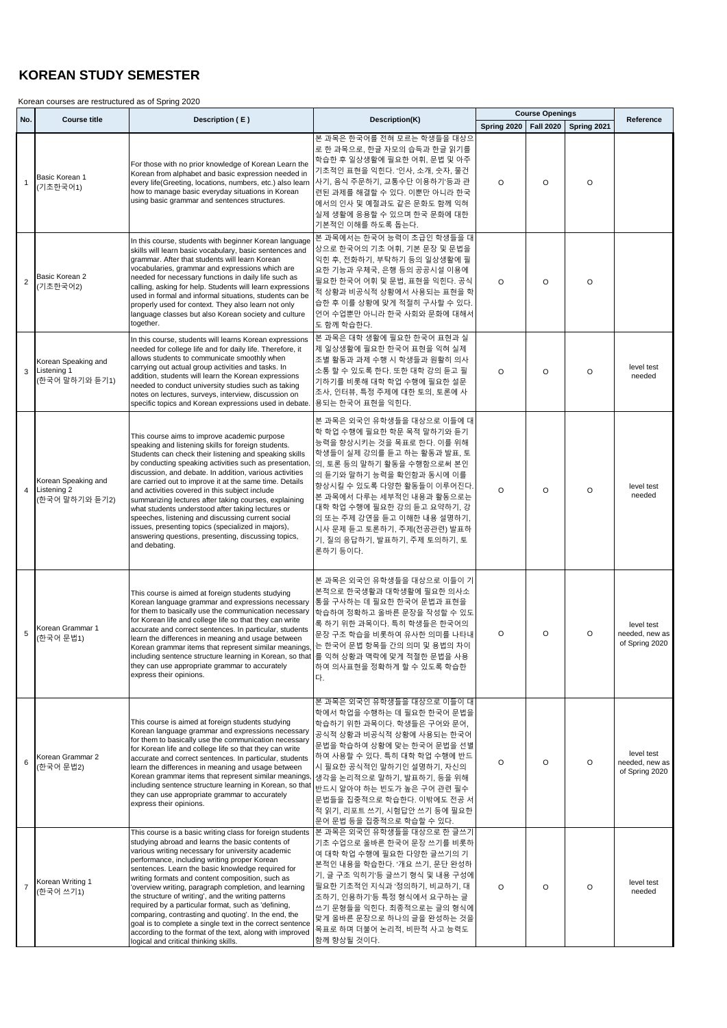## **KOREAN STUDY SEMESTER**

Korean courses are restructured as of Spring 2020

|                  |                                                      |                                                                                                                                                                                                                                                                                                                                                                                                                                                                                                                                                                                                                                                                                                                              |                                                                                                                                                                                                                                                                                                                                                                                      | <b>Course Openings</b>                |         |         | Reference                                      |
|------------------|------------------------------------------------------|------------------------------------------------------------------------------------------------------------------------------------------------------------------------------------------------------------------------------------------------------------------------------------------------------------------------------------------------------------------------------------------------------------------------------------------------------------------------------------------------------------------------------------------------------------------------------------------------------------------------------------------------------------------------------------------------------------------------------|--------------------------------------------------------------------------------------------------------------------------------------------------------------------------------------------------------------------------------------------------------------------------------------------------------------------------------------------------------------------------------------|---------------------------------------|---------|---------|------------------------------------------------|
| No.              | <b>Course title</b>                                  | Description (E)                                                                                                                                                                                                                                                                                                                                                                                                                                                                                                                                                                                                                                                                                                              | Description(K)                                                                                                                                                                                                                                                                                                                                                                       | Spring 2020   Fall 2020   Spring 2021 |         |         |                                                |
| $\mathbf{1}$     | Basic Korean 1<br>(기초한국어1)                           | For those with no prior knowledge of Korean Learn the<br>Korean from alphabet and basic expression needed in<br>every life(Greeting, locations, numbers, etc.) also learn<br>how to manage basic everyday situations in Korean<br>using basic grammar and sentences structures.                                                                                                                                                                                                                                                                                                                                                                                                                                              | 본 과목은 한국어를 전혀 모르는 학생들을 대상으<br>로 한 과목으로, 한글 자모의 습득과 한글 읽기를<br>학습한 후 일상생활에 필요한 어휘, 문법 및 아주<br>기초적인 표현을 익힌다. '인사, 소개, 숫자, 물건<br>사기, 음식 주문하기, 교통수단 이용하기'등과 관<br>련된 과제를 해결할 수 있다. 이뿐만 아니라 한국<br>에서의 인사 및 예절과도 같은 문화도 함께 익혀<br>실제 생활에 응용할 수 있으며 한국 문화에 대한<br>기본적인 이해를 하도록 돕는다.                                                                                                             | $\circ$                               | $\circ$ | O       |                                                |
| $\boldsymbol{2}$ | Basic Korean 2<br>(기초한국어2)                           | In this course, students with beginner Korean language<br>skills will learn basic vocabulary, basic sentences and<br>grammar. After that students will learn Korean<br>vocabularies, grammar and expressions which are<br>needed for necessary functions in daily life such as<br>calling, asking for help. Students will learn expressions<br>used in formal and informal situations, students can be<br>properly used for context. They also learn not only<br>language classes but also Korean society and culture<br>together.                                                                                                                                                                                           | 본 과목에서는 한국어 능력이 초급인 학생들을 대<br>상으로 한국어의 기초 어휘, 기본 문장 및 문법을<br>익힌 후, 전화하기, 부탁하기 등의 일상생활에 필<br>요한 기능과 우체국, 은행 등의 공공시설 이용에<br>필요한 한국어 어휘 및 문법, 표현을 익힌다. 공식<br>적 상황과 비공식적 상황에서 사용되는 표현을 학<br>습한 후 이를 상황에 맞게 적절히 구사할 수 있다.<br>언어 수업뿐만 아니라 한국 사회와 문화에 대해서<br>도 함께 학습한다.                                                                                                                     | $\circ$                               | $\circ$ | $\circ$ |                                                |
| 3                | Korean Speaking and<br>Listening 1<br>(한국어 말하기와 듣기1) | In this course, students will learns Korean expressions<br>needed for college life and for daily life. Therefore, it<br>allows students to communicate smoothly when<br>carrying out actual group activities and tasks. In<br>addition, students will learn the Korean expressions<br>needed to conduct university studies such as taking<br>notes on lectures, surveys, interview, discussion on<br>specific topics and Korean expressions used in debate.                                                                                                                                                                                                                                                                  | 본 과목은 대학 생활에 필요한 한국어 표현과 실<br>제 일상생활에 필요한 한국어 표현을 익혀 실제<br>조별 활동과 과제 수행 시 학생들과 원활히 의사<br>소통 할 수 있도록 한다. 또한 대학 강의 듣고 필<br>기하기를 비롯해 대학 학업 수행에 필요한 설문<br>조사, 인터뷰, 특정 주제에 대한 토의, 토론에 사<br>용되는 한국어 표현을 익힌다.                                                                                                                                                                               | $\Omega$                              | O       | O       | level test<br>needed                           |
| $\overline{4}$   | Korean Speaking and<br>Listening 2<br>(한국어 말하기와 듣기2) | This course aims to improve academic purpose<br>speaking and listening skills for foreign students.<br>Students can check their listening and speaking skills<br>by conducting speaking activities such as presentation,<br>discussion, and debate. In addition, various activities<br>are carried out to improve it at the same time. Details<br>and activities covered in this subject include<br>summarizing lectures after taking courses, explaining<br>what students understood after taking lectures or<br>speeches, listening and discussing current social<br>issues, presenting topics (specialized in majors),<br>answering questions, presenting, discussing topics,<br>and debating.                            | 본 과목은 외국인 유학생들을 대상으로 이들에 대<br>학 학업 수행에 필요한 학문 목적 말하기와 듣기<br>능력을 향상시키는 것을 목표로 한다. 이를 위해<br>학생들이 실제 강의를 듣고 하는 활동과 발표, 토<br>의, 토론 등의 말하기 활동을 수행함으로써 본인<br>의 듣기와 말하기 능력을 확인함과 동시에 이를<br>향상시킬 수 있도록 다양한 활동들이 이루어진다.<br>본 과목에서 다루는 세부적인 내용과 활동으로는<br>대학 학업 수행에 필요한 강의 듣고 요약하기, 강<br>의 또는 주제 강연을 듣고 이해한 내용 설명하기,<br>시사 문제 듣고 토론하기, 주제(전공관련) 발표하<br>기, 질의 응답하기, 발표하기, 주제 토의하기, 토<br>론하기 등이다. | $\Omega$                              | $\circ$ | O       | level test<br>needed                           |
| 5                | Korean Grammar 1<br>(한국어 문법1)                        | This course is aimed at foreign students studying<br>Korean language grammar and expressions necessary<br>for them to basically use the communication necessary<br>for Korean life and college life so that they can write<br>accurate and correct sentences. In particular, students<br>learn the differences in meaning and usage between<br>Korean grammar items that represent similar meanings,<br>including sentence structure learning in Korean, so that  를 익혀 상황과 맥락에 맞게 적절한 문법을 사용<br>they can use appropriate grammar to accurately<br>express their opinions.                                                                                                                                                    | 본 과목은 외국인 유학생들을 대상으로 이들이 기<br>본적으로 한국생활과 대학생활에 필요한 의사소<br>통을 구사하는 데 필요한 한국어 문법과 표현을<br>학습하여 정확하고 올바른 문장을 작성할 수 있도<br>록 하기 위한 과목이다. 특히 학생들은 한국어의<br>문장 구조 학습을 비롯하여 유사한 의미를 나타내<br>는 한국어 문법 항목들 간의 의미 및 용법의 차이<br>하여 의사표현을 정확하게 할 수 있도록 학습한<br>다.                                                                                                                                      | $\circ$                               | O       | $\circ$ | level test<br>needed, new as<br>of Spring 2020 |
| 6                | Korean Grammar 2<br>(한국어 문법2)                        | This course is aimed at foreign students studying<br>Korean language grammar and expressions necessary<br>for them to basically use the communication necessary<br>for Korean life and college life so that they can write<br>accurate and correct sentences. In particular, students<br>learn the differences in meaning and usage between<br>Korean grammar items that represent similar meanings,<br>including sentence structure learning in Korean, so that<br>they can use appropriate grammar to accurately<br>express their opinions.                                                                                                                                                                                | 본 과목은 외국인 유학생들을 대상으로 이들이 대<br>학에서 학업을 수행하는 데 필요한 한국어 문법을<br>학습하기 위한 과목이다. 학생들은 구어와 문어,<br>공식적 상황과 비공식적 상황에 사용되는 한국어<br>문법을 학습하여 상황에 맞는 한국어 문법을 선별<br>하여 사용할 수 있다. 특히 대학 학업 수행에 반드<br>시 필요한 공식적인 말하기인 설명하기, 자신의<br>생각을 논리적으로 말하기, 발표하기, 등을 위해<br>반드시 알아야 하는 빈도가 높은 구어 관련 필수<br>문법들을 집중적으로 학습한다. 이밖에도 전공 서<br>적 읽기, 리포트 쓰기, 시험답안 쓰기 등에 필요한<br>문어 문법 등을 집중적으로 학습할 수 있다.                 | O                                     | O       | $\circ$ | level test<br>needed, new as<br>of Spring 2020 |
| $\overline{7}$   | Korean Writing 1<br>(한국어 쓰기1)                        | This course is a basic writing class for foreign students<br>studying abroad and learns the basic contents of<br>various writing necessary for university academic<br>performance, including writing proper Korean<br>sentences. Learn the basic knowledge required for<br>writing formats and content composition, such as<br>'overview writing, paragraph completion, and learning<br>the structure of writing', and the writing patterns<br>required by a particular format, such as 'defining,<br>comparing, contrasting and quoting'. In the end, the<br>goal is to complete a single text in the correct sentence<br>according to the format of the text, along with improved<br>logical and critical thinking skills. | 본 과목은 외국인 유학생들을 대상으로 한 글쓰기<br>기초 수업으로 올바른 한국어 문장 쓰기를 비롯하<br>여 대학 학업 수행에 필요한 다양한 글쓰기의 기<br>본적인 내용을 학습한다. '개요 쓰기, 문단 완성하<br>기, 글 구조 익히기'등 글쓰기 형식 및 내용 구성에<br>필요한 기초적인 지식과 '정의하기, 비교하기, 대<br>조하기, 인용하기'등 특정 형식에서 요구하는 글<br>쓰기 문형들을 익힌다. 최종적으로는 글의 형식에<br>맞게 올바른 문장으로 하나의 글을 완성하는 것을<br>목표로 하며 더불어 논리적, 비판적 사고 능력도<br>함께 향상될 것이다.                                                        | O                                     | O       | O       | level test<br>needed                           |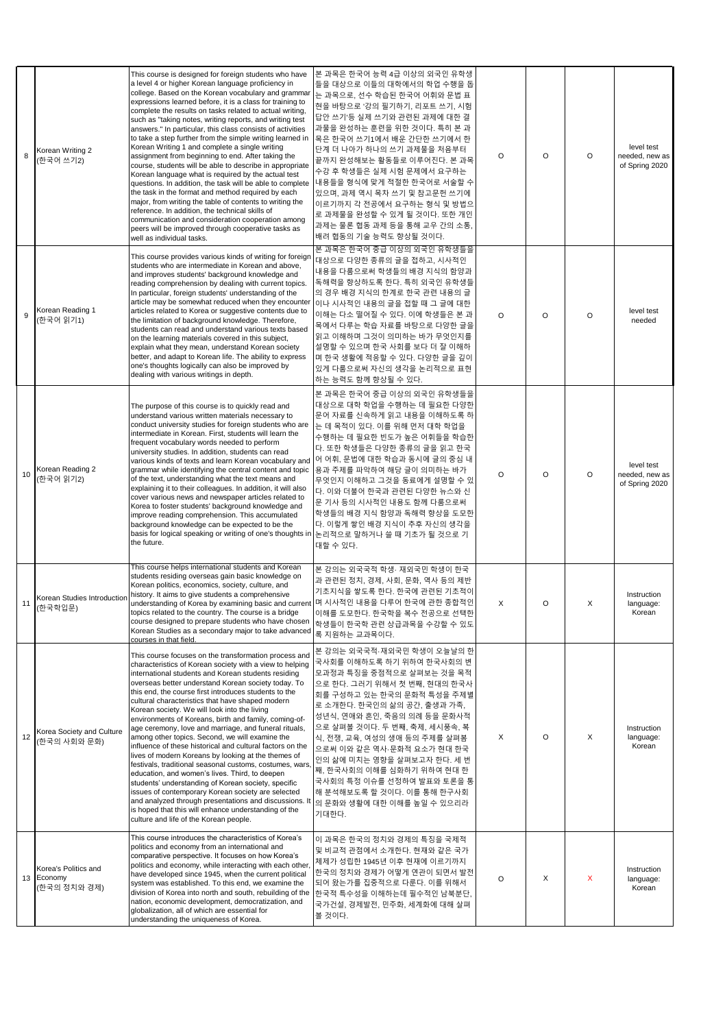|    | Korean Writing 2<br>(한국어 쓰기2)                      | This course is designed for foreign students who have<br>a level 4 or higher Korean language proficiency in<br>college. Based on the Korean vocabulary and grammar<br>expressions learned before, it is a class for training to<br>complete the results on tasks related to actual writing,<br>such as "taking notes, writing reports, and writing test<br>answers." In particular, this class consists of activities<br>to take a step further from the simple writing learned in<br>Korean Writing 1 and complete a single writing<br>assignment from beginning to end. After taking the<br>course, students will be able to describe in appropriate<br>Korean language what is required by the actual test<br>questions. In addition, the task will be able to complete<br>the task in the format and method required by each<br>major, from writing the table of contents to writing the<br>reference. In addition, the technical skills of<br>communication and consideration cooperation among<br>peers will be improved through cooperative tasks as<br>well as individual tasks. | 본 과목은 한국어 능력 4급 이상의 외국인 유학생<br>들을 대상으로 이들의 대학에서의 학업 수행을 돕<br>는 과목으로, 선수 학습된 한국어 어휘와 문법 표<br>현을 바탕으로 '강의 필기하기, 리포트 쓰기, 시험<br>답안 쓰기'등 실제 쓰기와 관련된 과제에 대한 결<br>과물을 완성하는 훈련을 위한 것이다. 특히 본 과<br> 목은 한국어 쓰기1에서 배운 간단한 쓰기에서 한<br>단계 더 나아가 하나의 쓰기 과제물을 처음부터<br>끝까지 완성해보는 활동들로 이루어진다. 본 과목<br>수강 후 학생들은 실제 시험 문제에서 요구하는<br> 내용들을 형식에 맞게 적절한 한국어로 서술할 수<br>있으며, 과제 역시 목차 쓰기 및 참고문헌 쓰기에<br>이르기까지 각 전공에서 요구하는 형식 및 방법으<br>로 과제물을 완성할 수 있게 될 것이다. 또한 개인<br> 과제는 물론 협동 과제 등을 통해 교우 간의 소통,<br> 배려 협동의 기술 능력도 향상될 것이다. | O | $\circ$ | $\circ$ | level test<br>needed, new as<br>of Spring 2020 |
|----|----------------------------------------------------|------------------------------------------------------------------------------------------------------------------------------------------------------------------------------------------------------------------------------------------------------------------------------------------------------------------------------------------------------------------------------------------------------------------------------------------------------------------------------------------------------------------------------------------------------------------------------------------------------------------------------------------------------------------------------------------------------------------------------------------------------------------------------------------------------------------------------------------------------------------------------------------------------------------------------------------------------------------------------------------------------------------------------------------------------------------------------------------|-------------------------------------------------------------------------------------------------------------------------------------------------------------------------------------------------------------------------------------------------------------------------------------------------------------------------------------------------------------------------------------------------------------------------------------------------------------------------------------------------------|---|---------|---------|------------------------------------------------|
|    | Korean Reading 1<br>(한국어 읽기1)                      | This course provides various kinds of writing for foreign<br>students who are intermediate in Korean and above,<br>and improves students' background knowledge and<br>reading comprehension by dealing with current topics.<br>In particular, foreign students' understanding of the<br>article may be somewhat reduced when they encounter<br>articles related to Korea or suggestive contents due to<br>the limitation of background knowledge. Therefore,<br>students can read and understand various texts based<br>on the learning materials covered in this subject,<br>explain what they mean, understand Korean society<br>better, and adapt to Korean life. The ability to express<br>one's thoughts logically can also be improved by<br>dealing with various writings in depth.                                                                                                                                                                                                                                                                                               | 본 과목은 한국어 중급 이상의 외국인 유학생들을<br>대상으로 다양한 종류의 글을 접하고, 시사적인<br>내용을 다룸으로써 학생들의 배경 지식의 함양과<br>독해력을 향상하도록 한다. 특히 외국인 유학생들<br> 의 경우 배경 지식의 한계로 한국 관련 내용의 글<br>이나 시사적인 내용의 글을 접할 때 그 글에 대한<br>이해는 다소 떨어질 수 있다. 이에 학생들은 본 과<br>목에서 다루는 학습 자료를 바탕으로 다양한 글을<br>읽고 이해하며 그것이 의미하는 바가 무엇인지를<br>설명할 수 있으며 한국 사회를 보다 더 잘 이해하<br> 며 한국 생활에 적응할 수 있다. 다양한 글을 깊이<br>있게 다룸으로써 자신의 생각을 논리적으로 표현<br> 하는 능력도 함께 향상될 수 있다.                                                                                                     | O | $\circ$ | $\circ$ | level test<br>needed                           |
| 10 | Korean Reading 2<br>(한국어 읽기2)                      | The purpose of this course is to quickly read and<br>understand various written materials necessary to<br>conduct university studies for foreign students who are<br>intermediate in Korean. First, students will learn the<br>frequent vocabulary words needed to perform<br>university studies. In addition, students can read<br>various kinds of texts and learn Korean vocabulary and<br>grammar while identifying the central content and topic<br>of the text, understanding what the text means and<br>explaining it to their colleagues. In addition, it will also<br>cover various news and newspaper articles related to<br>Korea to foster students' background knowledge and<br>improve reading comprehension. This accumulated<br>background knowledge can be expected to be the<br>basis for logical speaking or writing of one's thoughts in  논리적으로 말하거나 쓸 때 기초가 될 것으로 기<br>the future.                                                                                                                                                                                  | 본 과목은 한국어 중급 이상의 외국인 유학생들을<br>대상으로 대학 학업을 수행하는 데 필요한 다양한<br>문어 자료를 신속하게 읽고 내용을 이해하도록 하<br>는 데 목적이 있다. 이를 위해 먼저 대학 학업을<br>수행하는 데 필요한 빈도가 높은 어휘들을 학습한<br> 다. 또한 학생들은 다양한 종류의 글을 읽고 한국<br> 어 어휘, 문법에 대한 학습과 동시에 글의 중심 내<br> 용과 주제를 파악하여 해당 글이 의미하는 바가<br>무엇인지 이해하고 그것을 동료에게 설명할 수 있<br>다. 이와 더불어 한국과 관련된 다양한 뉴스와 신<br>문 기사 등의 시사적인 내용도 함께 다룸으로써<br> 학생들의 배경 지식 함양과 독해력 향상을 도모한<br> 다. 이렇게 쌓인 배경 지식이 추후 자신의 생각을<br>대할 수 있다.                                                                               | O | $\circ$ | $\circ$ | level test<br>needed, new as<br>of Spring 2020 |
| 11 | Korean Studies Introduction<br>(한국학입문)             | This course helps international students and Korean<br>students residing overseas gain basic knowledge on<br>Korean politics, economics, society, culture, and<br>history. It aims to give students a comprehensive<br>understanding of Korea by examining basic and current 며 시사적인 내용을 다루어 한국에 관한 종합적인<br>topics related to the country. The course is a bridge<br>course designed to prepare students who have chosen<br>Korean Studies as a secondary major to take advanced<br>courses in that field.                                                                                                                                                                                                                                                                                                                                                                                                                                                                                                                                                                                | 본 강의는 외국국적 학생. 재외국민 학생이 한국<br>과 관련된 정치, 경제, 사회, 문화, 역사 등의 제반<br> 기초지식을 쌓도록 한다. 한국에 관련된 기초적이<br>이해를 도모한다. 한국학을 복수 전공으로 선택한<br> 학생들이 한국학 관련 상급과목을 수강할 수 있도<br>록 지원하는 교과목이다.                                                                                                                                                                                                                                                                                                                             | X | O       | X       | Instruction<br>language:<br>Korean             |
| 12 | Korea Society and Culture<br>(한국의 사회와 문화)          | This course focuses on the transformation process and<br>characteristics of Korean society with a view to helping<br>international students and Korean students residing<br>overseas better understand Korean society today. To<br>this end, the course first introduces students to the<br>cultural characteristics that have shaped modern<br>Korean society. We will look into the living<br>environments of Koreans, birth and family, coming-of-<br>age ceremony, love and marriage, and funeral rituals,<br>among other topics. Second, we will examine the<br>influence of these historical and cultural factors on the<br>lives of modern Koreans by looking at the themes of<br>festivals, traditional seasonal customs, costumes, wars<br>education, and women's lives. Third, to deepen<br>students' understanding of Korean society, specific<br>issues of contemporary Korean society are selected<br>and analyzed through presentations and discussions. It<br>is hoped that this will enhance understanding of the<br>culture and life of the Korean people.              | 본 강의는 외국국적·재외국민 학생이 오늘날의 한<br>국사회를 이해하도록 하기 위하여 한국사회의 변<br>모과정과 특징을 중점적으로 살펴보는 것을 목적<br>으로 한다. 그러기 위해서 첫 번째, 현대의 한국사<br>회를 구성하고 있는 한국의 문화적 특성을 주제별<br>로 소개한다. 한국인의 삶의 공간, 출생과 가족,<br>성년식, 연애와 혼인, 죽음의 의례 등을 문화사적<br>으로 살펴볼 것이다. 두 번째, 축제, 세시풍속, 복<br>식, 전쟁, 교육, 여성의 생애 등의 주제를 살펴봄<br>으로써 이와 같은 역사 문화적 요소가 현대 한국<br>인의 삶에 미치는 영향을 살펴보고자 한다. 세 번<br>째, 한국사회의 이해를 심화하기 위하여 현대 한<br>국사회의 특정 이슈를 선정하여 발표와 토론을 통<br>해 분석해보도록 할 것이다. 이를 통해 한구사회<br>의 문화와 생활에 대한 이해를 높일 수 있으리라<br>기대한다.                       | X | $\circ$ | X       | Instruction<br>language:<br>Korean             |
|    | Korea's Politics and<br>13 Economy<br>(한국의 정치와 경제) | This course introduces the characteristics of Korea's<br>politics and economy from an international and<br>comparative perspective. It focuses on how Korea's<br>politics and economy, while interacting with each other,<br>have developed since 1945, when the current political<br>system was established. To this end, we examine the<br>division of Korea into north and south, rebuilding of the<br>nation, economic development, democratization, and<br>globalization, all of which are essential for<br>understanding the uniqueness of Korea.                                                                                                                                                                                                                                                                                                                                                                                                                                                                                                                                  | 이 과목은 한국의 정치와 경제의 특징을 국제적<br>및 비교적 관점에서 소개한다. 현재와 같은 국가<br>체제가 성립한 1945년 이후 현재에 이르기까지<br> 한국의 정치와 경제가 어떻게 연관이 되면서 발전<br> 되어 왔는가를 집중적으로 다룬다. 이를 위해서<br> 한국적 특수성을 이해하는데 필수적인 남북분단,<br>국가건설, 경제발전, 민주화, 세계화에 대해 살펴<br>볼 것이다.                                                                                                                                                                                                                                                                             | O | X       | X       | Instruction<br>language:<br>Korean             |